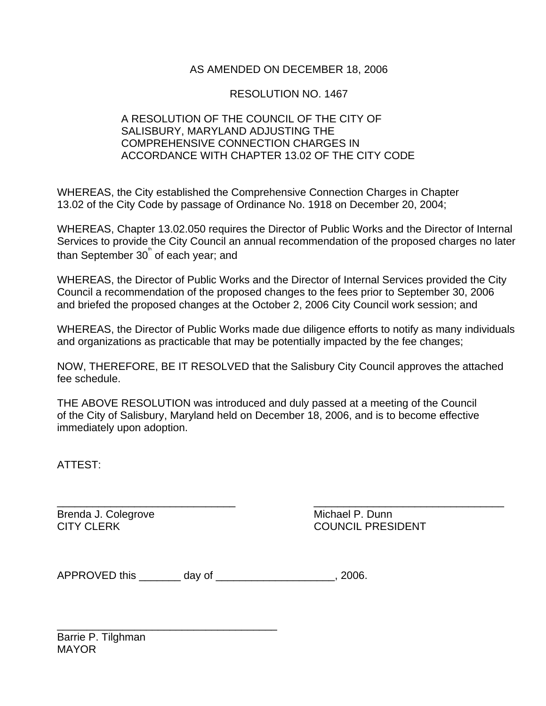## AS AMENDED ON DECEMBER 18, 2006

## RESOLUTION NO. 1467

## A RESOLUTION OF THE COUNCIL OF THE CITY OF SALISBURY, MARYLAND ADJUSTING THE COMPREHENSIVE CONNECTION CHARGES IN ACCORDANCE WITH CHAPTER 13.02 OF THE CITY CODE

WHEREAS, the City established the Comprehensive Connection Charges in Chapter 13.02 of the City Code by passage of Ordinance No. 1918 on December 20, 2004;

WHEREAS, Chapter 13.02.050 requires the Director of Public Works and the Director of Internal Services to provide the City Council an annual recommendation of the proposed charges no later than September  $30^{^{\circ}}$  of each year; and

WHEREAS, the Director of Public Works and the Director of Internal Services provided the City Council a recommendation of the proposed changes to the fees prior to September 30, 2006 and briefed the proposed changes at the October 2, 2006 City Council work session; and

WHEREAS, the Director of Public Works made due diligence efforts to notify as many individuals and organizations as practicable that may be potentially impacted by the fee changes;

NOW, THEREFORE, BE IT RESOLVED that the Salisbury City Council approves the attached fee schedule.

THE ABOVE RESOLUTION was introduced and duly passed at a meeting of the Council of the City of Salisbury, Maryland held on December 18, 2006, and is to become effective immediately upon adoption.

ATTEST:

\_\_\_\_\_\_\_\_\_\_\_\_\_\_\_\_\_\_\_\_\_\_\_\_\_\_\_\_\_\_ \_\_\_\_\_\_\_\_\_\_\_\_\_\_\_\_\_\_\_\_\_\_\_\_\_\_\_\_\_\_\_\_ Brenda J. Colegrove **Michael P. Dunn** 

CITY CLERK COUNCIL PRESIDENT

| <b>APPROVED this</b> | day of | . 2006. |
|----------------------|--------|---------|
|----------------------|--------|---------|

\_\_\_\_\_\_\_\_\_\_\_\_\_\_\_\_\_\_\_\_\_\_\_\_\_\_\_\_\_\_\_\_\_\_\_\_\_

Barrie P. Tilghman **MAYOR**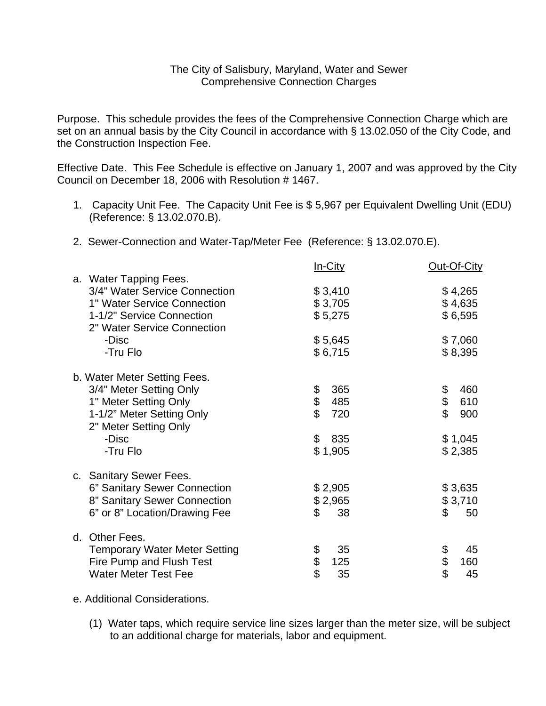## The City of Salisbury, Maryland, Water and Sewer Comprehensive Connection Charges

Purpose. This schedule provides the fees of the Comprehensive Connection Charge which are set on an annual basis by the City Council in accordance with § 13.02.050 of the City Code, and the Construction Inspection Fee.

Effective Date. This Fee Schedule is effective on January 1, 2007 and was approved by the City Council on December 18, 2006 with Resolution # 1467.

- 1. Capacity Unit Fee. The Capacity Unit Fee is \$ 5,967 per Equivalent Dwelling Unit (EDU) (Reference: § 13.02.070.B).
- 2. Sewer-Connection and Water-Tap/Meter Fee (Reference: § 13.02.070.E).

|                                                          | <u>In-City</u>       | Out-Of-City |
|----------------------------------------------------------|----------------------|-------------|
| a. Water Tapping Fees.                                   |                      |             |
| 3/4" Water Service Connection                            | \$3,410              | \$4,265     |
| 1" Water Service Connection                              | \$3,705              | \$4,635     |
| 1-1/2" Service Connection<br>2" Water Service Connection | \$5,275              | \$6,595     |
| -Disc                                                    | \$5,645              | \$7,060     |
| -Tru Flo                                                 | \$6,715              | \$8,395     |
|                                                          |                      |             |
| b. Water Meter Setting Fees.                             |                      |             |
| 3/4" Meter Setting Only                                  | 365                  | 460         |
| 1" Meter Setting Only                                    | \$<br>\$<br>485      | \$<br>610   |
| 1-1/2" Meter Setting Only                                | 720                  | \$<br>900   |
| 2" Meter Setting Only                                    |                      |             |
| -Disc                                                    | $\frac{2}{3}$<br>835 | \$1,045     |
| -Tru Flo                                                 | \$1,905              | \$2,385     |
|                                                          |                      |             |
| c. Sanitary Sewer Fees.                                  |                      |             |
| 6" Sanitary Sewer Connection                             | \$2,905              | \$3,635     |
| 8" Sanitary Sewer Connection                             | \$2,965              | \$3,710     |
| 6" or 8" Location/Drawing Fee                            | \$<br>38             | \$<br>50    |
|                                                          |                      |             |
| d. Other Fees.                                           |                      |             |
| <b>Temporary Water Meter Setting</b>                     | \$<br>35             | \$<br>45    |
| Fire Pump and Flush Test                                 | \$<br>125            | \$<br>160   |
| <b>Water Meter Test Fee</b>                              | 35                   | \$<br>45    |
|                                                          |                      |             |

e. Additional Considerations.

(1) Water taps, which require service line sizes larger than the meter size, will be subject to an additional charge for materials, labor and equipment.